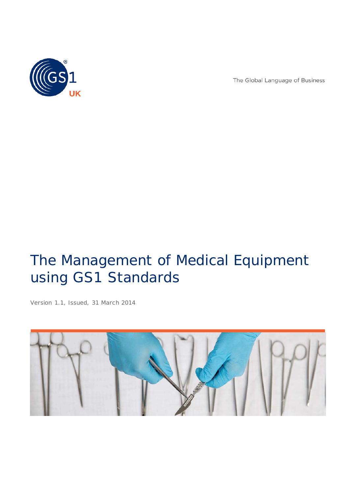

The Global Language of Business

# The Management of Medical Equipment using GS1 Standards

*Version 1.1, Issued, 31 March 2014*

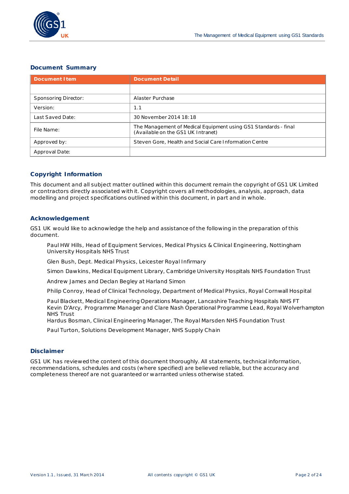

#### **Document Summary**

| <b>Document I tem</b> | <b>Document Detail</b>                                                                                |
|-----------------------|-------------------------------------------------------------------------------------------------------|
|                       |                                                                                                       |
| Sponsoring Director:  | Alaster Purchase                                                                                      |
| Version:              | 1.1                                                                                                   |
| Last Saved Date:      | 30 November 2014 18:18                                                                                |
| File Name:            | The Management of Medical Equipment using GS1 Standards - final<br>(Available on the GS1 UK Intranet) |
| Approved by:          | Steven Gore, Health and Social Care Information Centre                                                |
| Approval Date:        |                                                                                                       |

#### **Copyright Information**

This document and all subject matter outlined within this document remain the copyright of GS1 UK Limited or contractors directly associated with it. Copyright covers all methodologies, analysis, approach, data modelling and project specifications outlined within this document, in part and in whole.

#### **Acknowledgement**

GS1 UK would like to acknowledge the help and assistance of the following in the preparation of this document.

Paul HW Hills, Head of Equipment Services, Medical Physics & Clinical Engineering, Nottingham University Hospitals NHS Trust

Glen Bush, Dept. Medical Physics, Leicester Royal Infirmary

Simon Dawkins, Medical Equipment Library, Cambridge University Hospitals NHS Foundation Trust

Andrew James and Declan Begley at Harland Simon

Philip Conroy, Head of Clinical Technology, Department of Medical Physics, Royal Cornwall Hospital

Paul Blackett, Medical Engineering Operations Manager, Lancashire Teaching Hospitals NHS FT Kevin D'Arcy, Programme Manager and Clare Nash Operational Programme Lead, Royal Wolverhampton NHS Trust

Hardus Bosman, Clinical Engineering Manager, The Royal Marsden NHS Foundation Trust

Paul Turton, Solutions Development Manager, NHS Supply Chain

#### **Disclaimer**

GS1 UK has reviewed the content of this document thoroughly. All statements, technical information, recommendations, schedules and costs (where specified) are believed reliable, but the accuracy and completeness thereof are not guaranteed or warranted unless otherwise stated.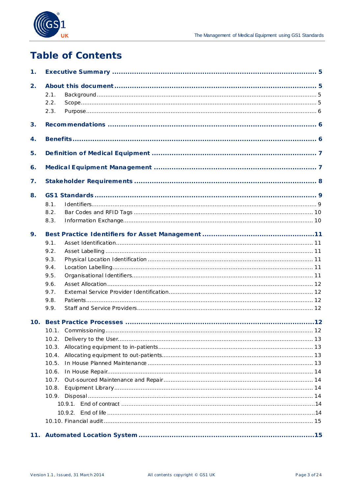

## **Table of Contents**

| 1. |       |  |
|----|-------|--|
| 2. |       |  |
|    | 2.1.  |  |
|    | 2.2.  |  |
|    | 2.3.  |  |
| 3. |       |  |
| 4. |       |  |
| 5. |       |  |
| 6. |       |  |
| 7. |       |  |
|    |       |  |
| 8. |       |  |
|    | 8.1.  |  |
|    | 8.2.  |  |
|    | 8.3.  |  |
| 9. |       |  |
|    | 9.1.  |  |
|    | 9.2.  |  |
|    | 9.3.  |  |
|    | 9.4.  |  |
|    | 9.5.  |  |
|    | 9.6.  |  |
|    | 9.7.  |  |
|    | 9.8.  |  |
|    | 9.9.  |  |
|    |       |  |
|    |       |  |
|    | 10.2. |  |
|    | 10.3. |  |
|    | 10.4. |  |
|    | 10.5. |  |
|    | 10.6. |  |
|    | 10.7. |  |
|    | 10.8. |  |
|    | 10.9. |  |
|    |       |  |
|    |       |  |
|    |       |  |
|    |       |  |
|    |       |  |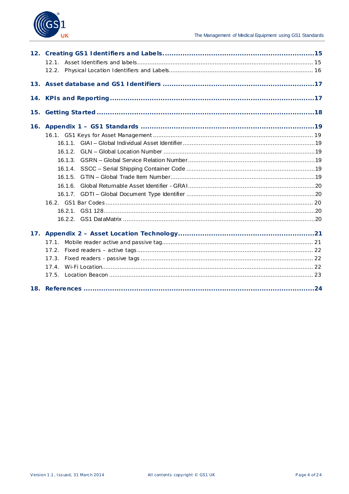

| 16. |         |  |
|-----|---------|--|
|     |         |  |
|     |         |  |
|     |         |  |
|     |         |  |
|     |         |  |
|     |         |  |
|     | 16.1.6. |  |
|     |         |  |
|     |         |  |
|     |         |  |
|     |         |  |
| 17. |         |  |
|     | 17.1    |  |
|     |         |  |
|     | 17.3.   |  |
|     | 17.4    |  |
|     | 17.5.   |  |
|     |         |  |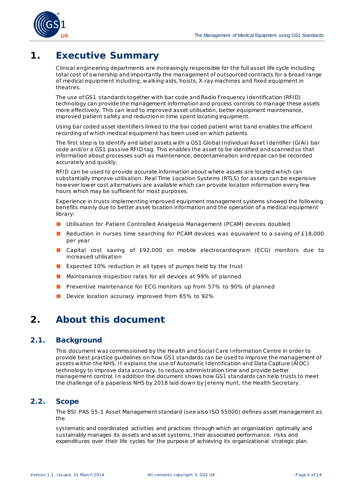

## <span id="page-4-0"></span>**1. Executive Summary**

Clinical engineering departments are increasingly responsible for the full asset life cycle including total cost of ownership and importantly the management of outsourced contracts for a broad range of medical equipment including, walking aids, hoists, X-ray machines and fixed equipment in theatres.

The use of GS1 standards together with bar code and Radio Frequency Identification (RFID) technology can provide the management information and process controls to manage these assets more effectively. This can lead to improved asset utilisation, better equipment maintenance, improved patient safety and reduction in time spent locating equipment.

Using bar coded asset identifiers linked to the bar coded patient wrist band enables the efficient recording of which medical equipment has been used on which patients.

The first step is to identify and label assets with a GS1 Global Individual Asset Identifier (GIAI) bar code and/or a GS1 passive RFID tag. This enables the asset to be identified and scanned so that information about processes such as maintenance, decontamination and repair can be recorded accurately and quickly.

RFID can be used to provide accurate information about where assets are located which can substantially improve utilisation. Real Time Location Systems (RTLS) for assets can be expensive however lower cost alternatives are available which can provide location information every few hours which may be sufficient for most purposes.

Experience in trusts implementing improved equipment management systems showed the following benefits mainly due to better asset location information and the operation of a medical equipment library:

- Utilisation for Patient Controlled Analgesia Management (PCAM) devices doubled
- Reduction in nurses time searching for PCAM devices was equivalent to a saving of £18,000 per year
- Capital cost saving of £92,000 on mobile electrocardiogram (ECG) monitors due to increased utilisation
- Expected 10% reduction in all types of pumps held by the trust
- Maintenance inspection rates for all devices at 99% of planned
- Preventive maintenance for ECG monitors up from 57% to 90% of planned
- Device location accuracy improved from 65% to 92%

## <span id="page-4-1"></span>**2. About this document**

#### <span id="page-4-2"></span>**2.1. Background**

This document was commissioned by the Health and Social Care Information Centre in order to provide best practice guidelines on how GS1 standards can be used to improve the management of assets within the NHS. It explains the use of Automatic Identification and Data Capture (AIDC) technology to improve data accuracy, to reduce administration time and provide better management control. In addition the document shows how GS1 standards can help trusts to meet the challenge of a paperless NHS by 2018 laid down by Jeremy Hunt, the Health Secretary.

#### <span id="page-4-3"></span>**2.2. Scope**

The BSI PAS 55-1 Asset Management standard (see also ISO 55000) defines asset management as the

*systematic and coordinated activities and practices through which an organization optimally and sustainably manages its assets and asset systems, their associated performance, risks and expenditures over their life cycles for the purpose of achieving its organizational strategic plan.*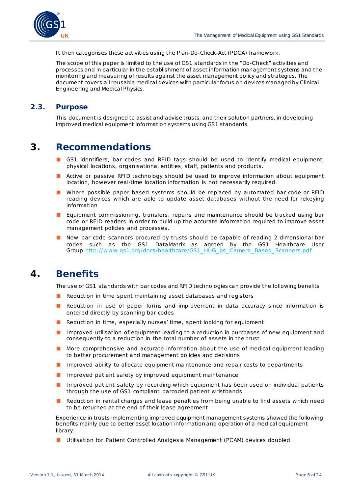

It then categorises these activities using the Plan-Do-Check-Act (PDCA) framework.

The scope of this paper is limited to the use of GS1 standards in the "Do-Check" activities and processes and in particular in the establishment of asset information management systems and the monitoring and measuring of results against the asset management policy and strategies. The document covers all reusable medical devices with particular focus on devices managed by Clinical Engineering and Medical Physics.

#### <span id="page-5-0"></span>**2.3. Purpose**

This document is designed to assist and advise trusts, and their solution partners, in developing improved medical equipment information systems using GS1 standards.

## <span id="page-5-1"></span>**3. Recommendations**

- GS1 identifiers, bar codes and RFID tags should be used to identify medical equipment, physical locations, organisational entities, staff, patients and products.
- Active or passive RFID technology should be used to improve information about equipment location, however real-time location information is not necessarily required.
- Where possible paper based systems should be replaced by automated bar code or RFID reading devices which are able to update asset databases without the need for rekeying information
- Equipment commissioning, transfers, repairs and maintenance should be tracked using bar code or RFID readers in order to build up the accurate information required to improve asset management policies and processes.
- New bar code scanners procured by trusts should be capable of reading 2 dimensional bar codes such as the GS1 DataMatrix as agreed by the GS1 Healthcare User Group [http://www .gs1.org/docs/healthcare/GS1\\_HUG\\_ps\\_Camera\\_Based\\_Scanners.pdf](http://www.gs1.org/docs/healthcare/GS1_HUG_ps_Camera_Based_Scanners.pdf)

## <span id="page-5-2"></span>**4. Benefits**

The use of GS1 standards with bar codes and RFID technologies can provide the following benefits

- Reduction in time spent maintaining asset databases and registers
- Reduction in use of paper forms and improvement in data accuracy since information is entered directly by scanning bar codes
- Reduction in time, especially nurses' time, spent looking for equipment
- Improved utilisation of equipment leading to a reduction in purchases of new equipment and consequently to a reduction in the total number of assets in the trust
- More comprehensive and accurate information about the use of medical equipment leading to better procurement and management policies and decisions
- Improved ability to allocate equipment maintenance and repair costs to departments
- Improved patient safety by improved equipment maintenance
- Improved patient safety by recording which equipment has been used on individual patients through the use of GS1 compliant barcoded patient wristbands
- Reduction in rental charges and lease penalties from being unable to find assets which need to be returned at the end of their lease agreement

Experience in trusts implementing improved equipment management systems showed the following benefits mainly due to better asset location information and operation of a medical equipment library:

■ Utilisation for Patient Controlled Analgesia Management (PCAM) devices doubled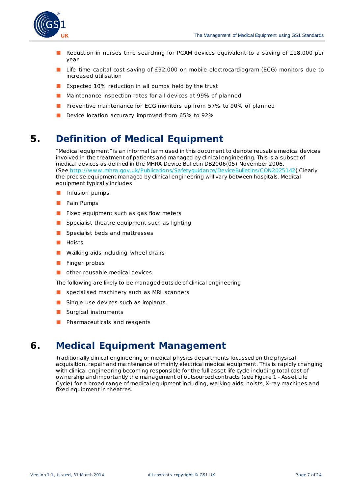

- Reduction in nurses time searching for PCAM devices equivalent to a saving of £18,000 per year
- Life time capital cost saving of £92,000 on mobile electrocardiogram (ECG) monitors due to increased utilisation
- Expected 10% reduction in all pumps held by the trust
- Maintenance inspection rates for all devices at 99% of planned
- Preventive maintenance for ECG monitors up from 57% to 90% of planned
- Device location accuracy improved from 65% to 92%

## <span id="page-6-0"></span>**5. Definition of Medical Equipment**

"Medical equipment" is an informal term used in this document to denote reusable medical devices involved in the treatment of patients and managed by clinical engineering. This is a subset of medical devices as defined in the MHRA Device Bulletin DB2006(05) November 2006. (See [http://www .mhra.gov.uk/Publications/Safetyguidance/DeviceBulletins/CON2025142](http://www.mhra.gov.uk/Publications/Safetyguidance/DeviceBulletins/CON2025142)) Clearly the precise equipment managed by clinical engineering will vary between hospitals. Medical equipment typically includes

- Infusion pumps
- Pain Pumps
- Fixed equipment such as gas flow meters
- Specialist theatre equipment such as lighting
- Specialist beds and mattresses
- Hoists
- Walking aids including wheel chairs
- Finger probes
- other reusable medical devices

The following are likely to be managed outside of clinical engineering

- specialised machinery such as MRI scanners
- Single use devices such as implants.
- Surgical instruments
- Pharmaceuticals and reagents

## <span id="page-6-1"></span>**6. Medical Equipment Management**

Traditionally clinical engineering or medical physics departments focussed on the physical acquisition, repair and maintenance of mainly electrical medical equipment. This is rapidly changing with clinical engineering becoming responsible for the full asset life cycle including total cost of ownership and importantly the management of outsourced contracts (see Figure 1 - [Asset Life](#page-7-1)  [Cycle\)](#page-7-1) for a broad range of medical equipment including, walking aids, hoists, X-ray machines and fixed equipment in theatres.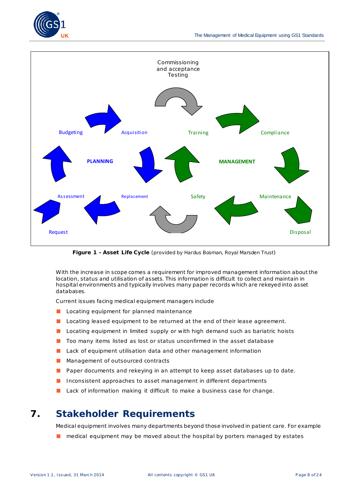



**Figure 1 - Asset Life Cycle** (provided by Hardus Bosman, Royal Marsden Trust)

<span id="page-7-1"></span>With the increase in scope comes a requirement for improved management information about the location, status and utilisation of assets. This information is difficult to collect and maintain in hospital environments and typically involves many paper records which are rekeyed into asset databases.

Current issues facing medical equipment managers include

- Locating equipment for planned maintenance
- Locating leased equipment to be returned at the end of their lease agreement.
- Locating equipment in limited supply or with high demand such as bariatric hoists
- Too many items listed as lost or status unconfirmed in the asset database
- Lack of equipment utilisation data and other management information
- Management of outsourced contracts
- Paper documents and rekeying in an attempt to keep asset databases up to date.
- Inconsistent approaches to asset management in different departments
- Lack of information making it difficult to make a business case for change.

## <span id="page-7-0"></span>**7. Stakeholder Requirements**

Medical equipment involves many departments beyond those involved in patient care. For example

■ medical equipment may be moved about the hospital by porters managed by estates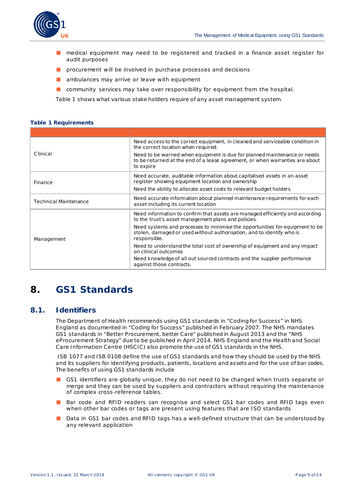- medical equipment may need to be registered and tracked in a finance asset register for audit purposes
- procurement will be involved in purchase processes and decisions
- ambulances may arrive or leave with equipment
- community services may take over responsibility for equipment from the hospital.

[Table 1](#page-8-2) shows what various stake holders require of any asset management system.

#### <span id="page-8-2"></span>**Table 1 Requirements**

| Need access to the correct equipment, in cleaned and serviceable condition in<br>the correct location when required.                                                  |
|-----------------------------------------------------------------------------------------------------------------------------------------------------------------------|
| Need to be warned when equipment is due for planned maintenance or needs<br>to be returned at the end of a lease agreement, or when warranties are about<br>to expire |
| Need accurate, auditable information about capitalised assets in an asset<br>register showing equipment location and ownership                                        |
| Need the ability to allocate asset costs to relevant budget holders                                                                                                   |
| Need accurate information about planned maintenance requirements for each<br>asset including its current location                                                     |
| Need information to confirm that assets are managed efficiently and according<br>to the trust's asset management plans and policies.                                  |
| Need systems and processes to minimise the opportunities for equipment to be<br>stolen, damaged or used without authorisation, and to identify who is<br>responsible. |
| Need to understand the total cost of ownership of equipment and any impact<br>on clinical outcomes                                                                    |
| Need knowledge of all out sourced contracts and the supplier performance<br>against those contracts.                                                                  |
|                                                                                                                                                                       |

## <span id="page-8-0"></span>**8. GS1 Standards**

#### <span id="page-8-1"></span>**8.1. Identifiers**

The Department of Health recommends using GS1 standards in "Coding for Success" in NHS England as documented in "Coding for Success" published in February 2007. The NHS mandates GS1 standards in "Better Procurement, better Care" published in August 2013 and the "NHS eProcurement Strategy" due to be published in April 2014. NHS England and the Health and Social Care Information Centre (HSCIC) also promote the use of GS1 standards in the NHS.

ISB 1077 and ISB 0108 define the use of GS1 standards and how they should be used by the NHS and its suppliers for identifying products, patients, locations and assets and for the use of bar codes. The benefits of using GS1 standards include

- GS1 identifiers are globally unique, they do not need to be changed when trusts separate or merge and they can be used by suppliers and contractors without requiring the maintenance of complex cross-reference tables.
- Bar code and RFID readers can recognise and select GS1 bar codes and RFID tags even when other bar codes or tags are present using features that are ISO standards
- Data in GS1 bar codes and RFID tags has a well-defined structure that can be understood by any relevant application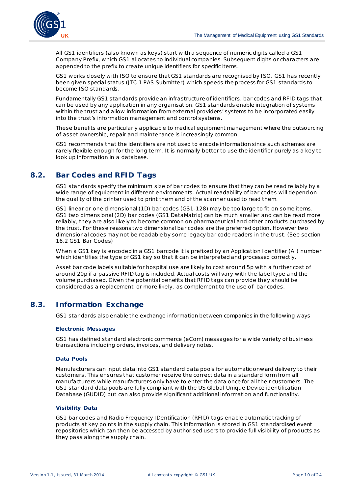

All GS1 identifiers (also known as keys) start with a sequence of numeric digits called a GS1 Company Prefix, which GS1 allocates to individual companies. Subsequent digits or characters are appended to the prefix to create unique identifiers for specific items.

GS1 works closely with ISO to ensure that GS1 standards are recognised by ISO. GS1 has recently been given special status (JTC 1 PAS Submitter) which speeds the process for GS1 standards to become ISO standards.

Fundamentally GS1 standards provide an infrastructure of identifiers, bar codes and RFID tags that can be used by any application in any organisation. GS1 standards enable integration of systems within the trust and allow information from external providers' systems to be incorporated easily into the trust's information management and control systems.

These benefits are particularly applicable to medical equipment management where the outsourcing of asset ownership, repair and maintenance is increasingly common.

GS1 recommends that the identifiers are not used to encode information since such schemes are rarely flexible enough for the long term. It is normally better to use the identifier purely as a key to look up information in a database.

### <span id="page-9-0"></span>**8.2. Bar Codes and RFID Tags**

GS1 standards specify the minimum size of bar codes to ensure that they can be read reliably by a wide range of equipment in different environments. Actual readability of bar codes will depend on the quality of the printer used to print them and of the scanner used to read them.

GS1 linear or one dimensional (1D) bar codes (GS1-128) may be too large to fit on some items. GS1 two dimensional (2D) bar codes (GS1 DataMatrix) can be much smaller and can be read more reliably, they are also likely to become common on pharmaceutical and other products purchased by the trust. For these reasons two dimensional bar codes are the preferred option. However two dimensional codes may not be readable by some legacy bar code readers in the trust. (See section [16.2](#page-19-2) [GS1 Bar Codes\)](#page-19-2)

When a GS1 key is encoded in a GS1 barcode it is prefixed by an Application Identifier (AI) number which identifies the type of GS1 key so that it can be interpreted and processed correctly.

Asset bar code labels suitable for hospital use are likely to cost around 5p with a further cost of around 20p if a passive RFID tag is included. Actual costs will vary with the label type and the volume purchased. Given the potential benefits that RFID tags can provide they should be considered as a replacement, or more likely, as complement to the use of bar codes.

#### <span id="page-9-1"></span>**8.3. Information Exchange**

GS1 standards also enable the exchange information between companies in the following ways

#### **Electronic Messages**

GS1 has defined standard electronic commerce (eCom) messages for a wide variety of business transactions including orders, invoices, and delivery notes.

#### **Data Pools**

Manufacturers can input data into GS1 standard data pools for automatic onward delivery to their customers. This ensures that customer receive the correct data in a standard form from all manufacturers while manufacturers only have to enter the data once for all their customers. The GS1 standard data pools are fully compliant with the US Global Unique Device identification Database (GUDID) but can also provide significant additional information and functionality.

#### **Visibility Data**

GS1 bar codes and Radio Frequency IDentification (RFID) tags enable automatic tracking of products at key points in the supply chain. This information is stored in GS1 standardised event repositories which can then be accessed by authorised users to provide full visibility of products as they pass along the supply chain.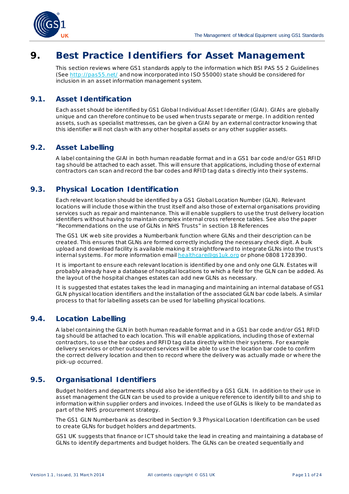

## <span id="page-10-0"></span>**9. Best Practice Identifiers for Asset Management**

This section reviews where GS1 standards apply to the information which BSI PAS 55 2 Guidelines (See<http://pas55.net/> and now incorporated into ISO 55000) state should be considered for inclusion in an asset information management system.

### <span id="page-10-1"></span>**9.1. Asset Identification**

Each asset should be identified by GS1 Global Individual Asset Identifier (GIAI). GIAIs are globally unique and can therefore continue to be used when trusts separate or merge. In addition rented assets, such as specialist mattresses, can be given a GIAI by an external contractor knowing that this identifier will not clash with any other hospital assets or any other supplier assets.

### <span id="page-10-2"></span>**9.2. Asset Labelling**

A label containing the GIAI in both human readable format and in a GS1 bar code and/or GS1 RFID tag should be attached to each asset. This will ensure that applications, including those of external contractors can scan and record the bar codes and RFID tag data s directly into their systems.

#### <span id="page-10-3"></span>**9.3. Physical Location Identification**

Each relevant location should be identified by a GS1 Global Location Number (GLN). Relevant locations will include those within the trust itself and also those of external organisations providing services such as repair and maintenance. This will enable suppliers to use the trust delivery location identifiers without having to maintain complex internal cross reference tables. See also the paper "Recommendations on the use of GLNs in NHS Trusts" in sectio[n 18](#page-22-1) [References](#page-22-1)

The GS1 UK web site provides a Numberbank function where GLNs and their description can be created. This ensures that GLNs are formed correctly including the necessary check digit. A bulk upload and download facility is available making it straightforward to integrate GLNs into the trust's internal systems. For more information emai[l healthcare@gs1uk.org](mailto:healthcare@gs1uk.org) or phone 0808 1728390.

It is important to ensure each relevant location is identified by one and only one GLN. Estates will probably already have a database of hospital locations to which a field for the GLN can be added. As the layout of the hospital changes estates can add new GLNs as necessary.

It is suggested that estates takes the lead in managing and maintaining an internal database of GS1 GLN physical location identifiers and the installation of the associated GLN bar code labels. A similar process to that for labelling assets can be used for labelling physical locations.

#### <span id="page-10-4"></span>**9.4. Location Labelling**

A label containing the GLN in both human readable format and in a GS1 bar code and/or GS1 RFID tag should be attached to each location. This will enable applications, including those of external contractors, to use the bar codes and RFID tag data directly within their systems. For example delivery services or other outsourced services will be able to use the location bar code to confirm the correct delivery location and then to record where the delivery was actually made or where the pick-up occurred.

### <span id="page-10-5"></span>**9.5. Organisational Identifiers**

Budget holders and departments should also be identified by a GS1 GLN. In addition to their use in asset management the GLN can be used to provide a unique reference to identify bill to and ship to information within supplier orders and invoices. Indeed the use of GLNs is likely to be mandated as part of the NHS procurement strategy.

The GS1 GLN Numberbank as described in Sectio[n 9.3](#page-10-3) [Physical Location Identification](#page-10-3) can be used to create GLNs for budget holders and departments.

GS1 UK suggests that finance or ICT should take the lead in creating and maintaining a database of GLNs to identify departments and budget holders. The GLNs can be created sequentially and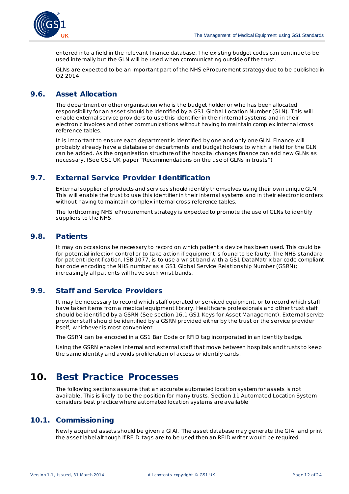

entered into a field in the relevant finance database. The existing budget codes can continue to be used internally but the GLN will be used when communicating outside of the trust.

GLNs are expected to be an important part of the NHS eProcurement strategy due to be published in Q2 2014.

### <span id="page-11-0"></span>**9.6. Asset Allocation**

The department or other organisation who is the budget holder or who has been allocated responsibility for an asset should be identified by a GS1 Global Location Number (GLN). This will enable external service providers to use this identifier in their internal systems and in their electronic invoices and other communications without having to maintain complex internal cross reference tables.

It is important to ensure each department is identified by one and only one GLN. Finance will probably already have a database of departments and budget holders to which a field for the GLN can be added. As the organisation structure of the hospital changes finance can add new GLNs as necessary. (See GS1 UK paper "Recommendations on the use of GLNs in trusts")

### <span id="page-11-1"></span>**9.7. External Service Provider Identification**

External supplier of products and services should identify themselves using their own unique GLN. This will enable the trust to use this identifier in their internal systems and in their electronic orders without having to maintain complex internal cross reference tables.

The forthcoming NHS eProcurement strategy is expected to promote the use of GLNs to identify suppliers to the NHS.

#### <span id="page-11-2"></span>**9.8. Patients**

It may on occasions be necessary to record on which patient a device has been used. This could be for potential infection control or to take action if equipment is found to be faulty. The NHS standard for patient identification, ISB 1077, is to use a wrist band with a GS1 DataMatrix bar code compliant bar code encoding the NHS number as a GS1 Global Service Relationship Number (GSRN); increasingly all patients will have such wrist bands.

#### <span id="page-11-3"></span>**9.9. Staff and Service Providers**

It may be necessary to record which staff operated or serviced equipment, or to record which staff have taken items from a medical equipment library. Healthcare professionals and other trust staff should be identified by a GSRN (See sectio[n 16.1](#page-18-1) GS1 Keys [for Asset Management](#page-18-1)). External service provider staff should be identified by a GSRN provided either by the trust or the service provider itself, whichever is most convenient.

The GSRN can be encoded in a GS1 Bar Code or RFID tag incorporated in an identity badge.

Using the GSRN enables internal and external staff that move between hospitals and trusts to keep the same identity and avoids proliferation of access or identify cards.

## <span id="page-11-4"></span>**10. Best Practice Processes**

The following sections assume that an accurate automated location system for assets is not available. This is likely to be the position for many trusts. Sectio[n 11](#page-14-1) [Automated Location System](#page-14-1) considers best practice where automated location systems are available

#### <span id="page-11-5"></span>**10.1. Commissioning**

Newly acquired assets should be given a GIAI. The asset database may generate the GIAI and print the asset label although if RFID tags are to be used then an RFID writer would be required.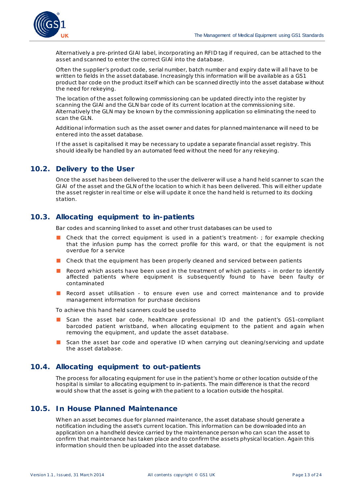

Alternatively a pre-printed GIAI label, incorporating an RFID tag if required, can be attached to the asset and scanned to enter the correct GIAI into the database.

Often the supplier's product code, serial number, batch number and expiry date will all have to be written to fields in the asset database. Increasingly this information will be available as a GS1 product bar code on the product itself which can be scanned directly into the asset database without the need for rekeying.

The location of the asset following commissioning can be updated directly into the register by scanning the GIAI and the GLN bar code of its current location at the commissioning site. Alternatively the GLN may be known by the commissioning application so eliminating the need to scan the GLN.

Additional information such as the asset owner and dates for planned maintenance will need to be entered into the asset database.

If the asset is capitalised it may be necessary to update a separate financial asset registry. This should ideally be handled by an automated feed without the need for any rekeying.

### <span id="page-12-0"></span>**10.2. Delivery to the User**

Once the asset has been delivered to the user the deliverer will use a hand held scanner to scan the GIAI of the asset and the GLN of the location to which it has been delivered. This will either update the asset register in real time or else will update it once the hand held is returned to its docking station.

### <span id="page-12-1"></span>**10.3. Allocating equipment to in-patients**

Bar codes and scanning linked to asset and other trust databases can be used to

- Check that the correct equipment is used in a patient's treatment-; for example checking that the infusion pump has the correct profile for this ward, or that the equipment is not overdue for a service
- Check that the equipment has been properly cleaned and serviced between patients
- Record which assets have been used in the treatment of which patients in order to identify affected patients where equipment is subsequently found to have been faulty or contaminated
- Record asset utilisation to ensure even use and correct maintenance and to provide management information for purchase decisions

To achieve this hand held scanners could be used to

- Scan the asset bar code, healthcare professional ID and the patient's GS1-compliant barcoded patient wristband, when allocating equipment to the patient and again when removing the equipment, and update the asset database.
- Scan the asset bar code and operative ID when carrying out cleaning/servicing and update the asset database.

#### <span id="page-12-2"></span>**10.4. Allocating equipment to out-patients**

The process for allocating equipment for use in the patient's home or other location outside of the hospital is similar to allocating equipment to in-patients. The main difference is that the record would show that the asset is going with the patient to a location outside the hospital.

#### <span id="page-12-3"></span>**10.5. In House Planned Maintenance**

When an asset becomes due for planned maintenance, the asset database should generate a notification including the asset's current location. This information can be downloaded into an application on a handheld device carried by the maintenance person who can scan the asset to confirm that maintenance has taken place and to confirm the assets physical location. Again this information should then be uploaded into the asset database.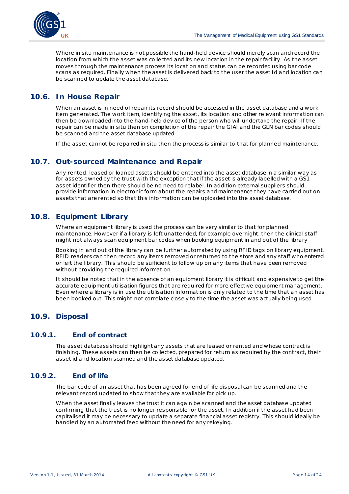

Where *in situ* maintenance is not possible the hand-held device should merely scan and record the location from which the asset was collected and its new location in the repair facility. As the asset moves through the maintenance process its location and status can be recorded using bar code scans as required. Finally when the asset is delivered back to the user the asset Id and location can be scanned to update the asset database.

### <span id="page-13-0"></span>**10.6. In House Repair**

When an asset is in need of repair its record should be accessed in the asset database and a work item generated. The work item, identifying the asset, its location and other relevant information can then be downloaded into the hand-held device of the person who will undertake the repair. If the repair can be made *in situ* then on completion of the repair the GIAI and the GLN bar codes should be scanned and the asset database updated

If the asset cannot be repaired *in situ* then the process is similar to that for planned maintenance.

### <span id="page-13-1"></span>**10.7. Out-sourced Maintenance and Repair**

Any rented, leased or loaned assets should be entered into the asset database in a similar way as for assets owned by the trust with the exception that if the asset is already labelled with a GS1 asset identifier then there should be no need to relabel. In addition external suppliers should provide information in electronic form about the repairs and maintenance they have carried out on assets that are rented so that this information can be uploaded into the asset database.

#### <span id="page-13-2"></span>**10.8. Equipment Library**

Where an equipment library is used the process can be very similar to that for planned maintenance. However if a library is left unattended, for example overnight, then the clinical staff might not always scan equipment bar codes when booking equipment in and out of the library

Booking in and out of the library can be further automated by using RFID tags on library equipment. RFID readers can then record any items removed or returned to the store and any staff who entered or left the library. This should be sufficient to follow up on any items that have been removed without providing the required information.

It should be noted that in the absence of an equipment library it is difficult and expensive to get the accurate equipment utilisation figures that are required for more effective equipment management. Even where a library is in use the utilisation information is only related to the time that an asset has been booked out. This might not correlate closely to the time the asset was actually being used.

#### <span id="page-13-3"></span>**10.9. Disposal**

#### <span id="page-13-4"></span>**10.9.1. End of contract**

The asset database should highlight any assets that are leased or rented and whose contract is finishing. These assets can then be collected, prepared for return as required by the contract, their asset id and location scanned and the asset database updated.

#### <span id="page-13-5"></span>**10.9.2. End of life**

The bar code of an asset that has been agreed for end of life disposal can be scanned and the relevant record updated to show that they are available for pick up.

When the asset finally leaves the trust it can again be scanned and the asset database updated confirming that the trust is no longer responsible for the asset. In addition if the asset had been capitalised it may be necessary to update a separate financial asset registry. This should ideally be handled by an automated feed without the need for any rekeying.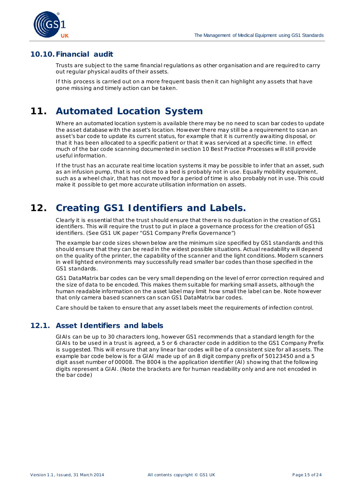

### <span id="page-14-0"></span>**10.10.Financial audit**

Trusts are subject to the same financial regulations as other organisation and are required to carry out regular physical audits of their assets.

If this process is carried out on a more frequent basis then it can highlight any assets that have gone missing and timely action can be taken.

## <span id="page-14-1"></span>**11. Automated Location System**

Where an automated location system is available there may be no need to scan bar codes to update the asset database with the asset's location. However there may still be a requirement to scan an asset's bar code to update its current status, for example that it is currently awaiting disposal, or that it has been allocated to a specific patient or that it was serviced at a specific time. In effect much of the bar code scanning documented in sectio[n 10](#page-11-4) [Best Practice Processes](#page-11-4) will still provide useful information.

If the trust has an accurate real time location systems it may be possible to infer that an asset, such as an infusion pump, that is not close to a bed is probably not in use. Equally mobility equipment, such as a wheel chair, that has not moved for a period of time is also probably not in use. This could make it possible to get more accurate utilisation information on assets.

## <span id="page-14-2"></span>**12. Creating GS1 Identifiers and Labels.**

Clearly it is essential that the trust should ensure that there is no duplication in the creation of GS1 identifiers. This will require the trust to put in place a governance process for the creation of GS1 identifiers. (See GS1 UK paper "GS1 Company Prefix Governance")

The example bar code sizes shown below are the minimum size specified by GS1 standards and this should ensure that they can be read in the widest possible situations. Actual readability will depend on the quality of the printer, the capability of the scanner and the light conditions. Modern scanners in well lighted environments may successfully read smaller bar codes than those specified in the GS1 standards.

GS1 DataMatrix bar codes can be very small depending on the level of error correction required and the size of data to be encoded. This makes them suitable for marking small assets, although the human readable information on the asset label may limit how small the label can be. Note however that only camera based scanners can scan GS1 DataMatrix bar codes.

Care should be taken to ensure that any asset labels meet the requirements of infection control.

### <span id="page-14-3"></span>**12.1. Asset Identifiers and labels**

GIAIs can be up to 30 characters long, however GS1 recommends that a standard length for the GIAIs to be used in a trust is agreed, a 5 or 6 character code in addition to the GS1 Company Prefix is suggested. This will ensure that any linear bar codes will be of a consistent size for all assets. The example bar code below is for a GIAI made up of an 8 digit company prefix of 50123450 and a 5 digit asset number of 00008. The 8004 is the application identifier (AI) showing that the following digits represent a GIAI. (Note the brackets are for human readability only and are not encoded in the bar code)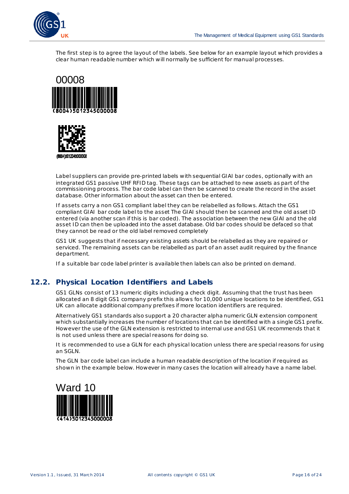

The first step is to agree the layout of the labels. See below for an example layout which provides a clear human readable number which will normally be sufficient for manual processes.





Label suppliers can provide pre-printed labels with sequential GIAI bar codes, optionally with an integrated GS1 passive UHF RFID tag. These tags can be attached to new assets as part of the commissioning process. The bar code label can then be scanned to create the record in the asset database. Other information about the asset can then be entered.

If assets carry a non GS1 compliant label they can be relabelled as follows. Attach the GS1 compliant GIAI bar code label to the asset The GIAI should then be scanned and the old asset ID entered (via another scan if this is bar coded). The association between the new GIAI and the old asset ID can then be uploaded into the asset database. Old bar codes should be defaced so that they cannot be read or the old label removed completely

GS1 UK suggests that if necessary existing assets should be relabelled as they are repaired or serviced. The remaining assets can be relabelled as part of an asset audit required by the finance department.

If a suitable bar code label printer is available then labels can also be printed on demand.

#### <span id="page-15-0"></span>**12.2. Physical Location Identifiers and Labels**

GS1 GLNs consist of 13 numeric digits including a check digit. Assuming that the trust has been allocated an 8 digit GS1 company prefix this allows for 10,000 unique locations to be identified, GS1 UK can allocate additional company prefixes if more location identifiers are required.

Alternatively GS1 standards also support a 20 character alpha numeric GLN extension component which substantially increases the number of locations that can be identified with a single GS1 prefix. However the use of the GLN extension is restricted to internal use and GS1 UK recommends that it is not used unless there are special reasons for doing so.

It is recommended to use a GLN for each physical location unless there are special reasons for using an SGLN.

The GLN bar code label can include a human readable description of the location if required as shown in the example below. However in many cases the location will already have a name label.

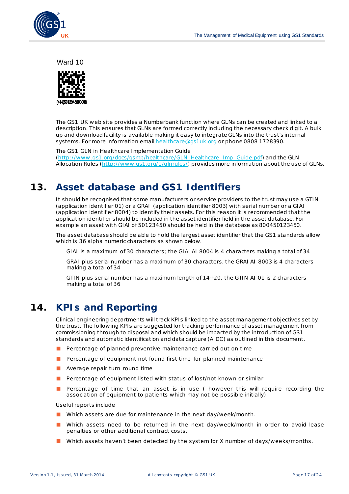

Ward 10



The GS1 UK web site provides a Numberbank function where GLNs can be created and linked to a description. This ensures that GLNs are formed correctly including the necessary check digit. A bulk up and download facility is available making it easy to integrate GLNs into the trust's internal systems. For more information emai[l healthcare@gs1uk.org](mailto:healthcare@gs1uk.org) or phone 0808 1728390.

The GS1 GLN in Healthcare Implementation Guide [\(http://www .gs1.org/docs/gsmp/healthcare/GLN\\_Healthcare\\_Imp\\_Guide.pdf](http://www.gs1.org/docs/gsmp/healthcare/GLN_Healthcare_Imp_Guide.pdf)) and the GLN Allocation Rules [\(http://www.gs1.org/1/glnrules/](http://www.gs1.org/1/glnrules/)) provides more information about the use of GLNs.

## <span id="page-16-0"></span>**13. Asset database and GS1 Identifiers**

It should be recognised that some manufacturers or service providers to the trust may use a GTIN (application identifier 01) or a GRAI (application identifier 8003) with serial number or a GIAI (application identifier 8004) to identify their assets. For this reason it is recommended that the application identifier should be included in the asset identifier field in the asset database. For example an asset with GIAI of 50123450 should be held in the database as 800450123450.

The asset database should be able to hold the largest asset identifier that the GS1 standards allow which is 36 alpha numeric characters as shown below.

GIAI is a maximum of 30 characters; the GIAI AI 8004 is 4 characters making a total of 34

GRAI plus serial number has a maximum of 30 characters, the GRAI AI 8003 is 4 characters making a total of 34

GTIN plus serial number has a maximum length of 14+20, the GTIN AI 01 is 2 characters making a total of 36

## <span id="page-16-1"></span>**14. KPIs and Reporting**

Clinical engineering departments will track KPIs linked to the asset management objectives set by the trust. The following KPIs are suggested for tracking performance of asset management from commissioning through to disposal and which should be impacted by the introduction of GS1 standards and automatic identification and data capture (AIDC) as outlined in this document.

- Percentage of planned preventive maintenance carried out on time
- Percentage of equipment not found first time for planned maintenance
- Average repair turn round time
- Percentage of equipment listed with status of lost/not known or similar
- Percentage of time that an asset is in use ( however this will require recording the association of equipment to patients which may not be possible initially)

Useful reports include

- Which assets are due for maintenance in the next day/week/month.
- Which assets need to be returned in the next day/week/month in order to avoid lease penalties or other additional contract costs.
- Which assets haven't been detected by the system for X number of days/weeks/months.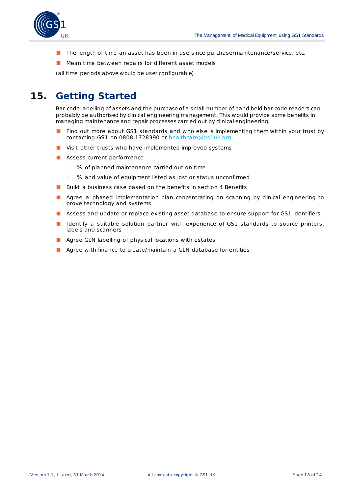

- The length of time an asset has been in use since purchase/maintenance/service, etc.
- Mean time between repairs for different asset models

(all time periods above would be user configurable)

## <span id="page-17-0"></span>**15. Getting Started**

Bar code labelling of assets and the purchase of a small number of hand held bar code readers can probably be authorised by clinical engineering management. This would provide some benefits in managing maintenance and repair processes carried out by clinical engineering.

- Find out more about GS1 standards and who else is implementing them within your trust by contacting GS1 on 0808 1728390 or [healthcare@gs1uk.org](mailto:healthcare@gs1uk.org)
- Visit other trusts who have implemented improved systems
- Assess current performance
	- □ % of planned maintenance carried out on time
	- □ % and value of equipment listed as lost or status unconfirmed
- Build a business case based on the benefits in section [4](#page-5-2) [Benefits](#page-5-2)
- Agree a phased implementation plan concentrating on scanning by clinical engineering to prove technology and systems
- Assess and update or replace existing asset database to ensure support for GS1 identifiers
- Identify a suitable solution partner with experience of GS1 standards to source printers, labels and scanners
- Agree GLN labelling of physical locations with estates
- Agree with finance to create/maintain a GLN database for entities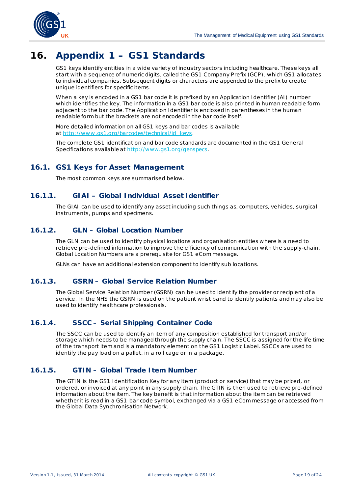

## <span id="page-18-0"></span>**16. Appendix 1 – GS1 Standards**

GS1 keys identify entities in a wide variety of industry sectors including healthcare. These keys all start with a sequence of numeric digits, called the GS1 Company Prefix (GCP), which GS1 allocates to individual companies. Subsequent digits or characters are appended to the prefix to create unique identifiers for specific items.

When a key is encoded in a GS1 bar code it is prefixed by an Application Identifier (AI) number which identifies the key. The information in a GS1 bar code is also printed in human readable form adjacent to the bar code. The Application Identifier is enclosed in parentheses in the human readable form but the brackets are not encoded in the bar code itself.

More detailed information on all GS1 keys and bar codes is available at http://www.gs1.org/barcodes/technical/id\_keys.

The complete GS1 identification and bar code standards are documented in the GS1 General Specifications available a[t http://www.gs1.org/genspecs](http://www.gs1.org/genspecs).

## <span id="page-18-1"></span>**16.1. GS1 Keys for Asset Management**

The most common keys are summarised below.

### <span id="page-18-2"></span>**16.1.1. GIAI – Global Individual Asset Identifier**

The GIAI can be used to identify any asset including such things as, computers, vehicles, surgical instruments, pumps and specimens.

### <span id="page-18-3"></span>**16.1.2. GLN – Global Location Number**

The GLN can be used to identify physical locations and organisation entities where is a need to retrieve pre-defined information to improve the efficiency of communication with the supply-chain. Global Location Numbers are a prerequisite for GS1 eCom message.

GLNs can have an additional extension component to identify sub locations.

### <span id="page-18-4"></span>**16.1.3. GSRN – Global Service Relation Number**

The Global Service Relation Number (GSRN) can be used to identify the provider or recipient of a service. In the NHS the GSRN is used on the patient wrist band to identify patients and may also be used to identify healthcare professionals.

#### <span id="page-18-5"></span>**16.1.4. SSCC – Serial Shipping Container Code**

The SSCC can be used to identify an item of any composition established for transport and/or storage which needs to be managed through the supply chain. The SSCC is assigned for the life time of the transport item and is a mandatory element on the GS1 Logistic Label. SSCCs are used to identify the pay load on a pallet, in a roll cage or in a package.

#### <span id="page-18-6"></span>**16.1.5. GTIN – Global Trade Item Number**

The GTIN is the GS1 Identification Key for any item (product or service) that may be priced, or ordered, or invoiced at any point in any supply chain. The GTIN is then used to retrieve pre-defined information about the item. The key benefit is that information about the item can be retrieved whether it is read in a GS1 bar code symbol, exchanged via a GS1 eCom message or accessed from the Global Data Synchronisation Network.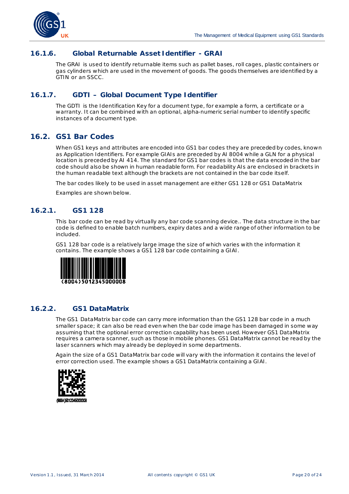

#### <span id="page-19-0"></span>**16.1.6. Global Returnable Asset Identifier - GRAI**

The GRAI is used to identify returnable items such as pallet bases, roll cages, plastic containers or gas cylinders which are used in the movement of goods. The goods themselves are identified by a GTIN or an SSCC.

#### <span id="page-19-1"></span>**16.1.7. GDTI – Global Document Type Identifier**

The GDTI is the Identification Key for a document type, for example a form, a certificate or a warranty. It can be combined with an optional, alpha-numeric serial number to identify specific instances of a document type.

### <span id="page-19-2"></span>**16.2. GS1 Bar Codes**

When GS1 keys and attributes are encoded into GS1 bar codes they are preceded by codes, known as Application Identifiers. For example GIAIs are preceded by AI 8004 while a GLN for a physical location is preceded by AI 414. The standard for GS1 bar codes is that the data encoded in the bar code should also be shown in human readable form. For readability AIs are enclosed in brackets in the human readable text although the brackets are not contained in the bar code itself.

The bar codes likely to be used in asset management are either GS1 128 or GS1 DataMatrix

Examples are shown below.

#### <span id="page-19-3"></span>**16.2.1. GS1 128**

This bar code can be read by virtually any bar code scanning device.. The data structure in the bar code is defined to enable batch numbers, expiry dates and a wide range of other information to be included.

GS1 128 bar code is a relatively large image the size of which varies with the information it contains. The example shows a GS1 128 bar code containing a GIAI.



#### <span id="page-19-4"></span>**16.2.2. GS1 DataMatrix**

The GS1 DataMatrix bar code can carry more information than the GS1 128 bar code in a much smaller space; it can also be read even when the bar code image has been damaged in some way assuming that the optional error correction capability has been used. However GS1 DataMatrix requires a camera scanner, such as those in mobile phones. GS1 DataMatrix cannot be read by the laser scanners which may already be deployed in some departments.

Again the size of a GS1 DataMatrix bar code will vary with the information it contains the level of error correction used. The example shows a GS1 DataMatrix containing a GIAI.

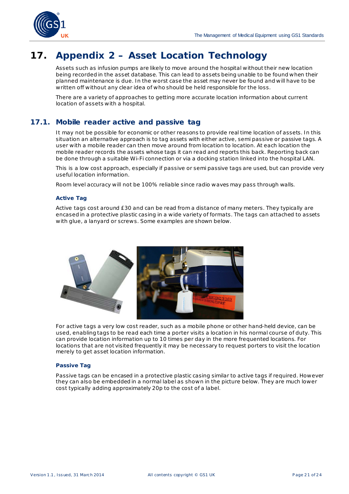

## <span id="page-20-0"></span>**17. Appendix 2 – Asset Location Technology**

Assets such as infusion pumps are likely to move around the hospital without their new location being recorded in the asset database. This can lead to assets being unable to be found when their planned maintenance is due. In the worst case the asset may never be found and will have to be written off without any clear idea of who should be held responsible for the loss.

There are a variety of approaches to getting more accurate location information about current location of assets with a hospital.

### <span id="page-20-1"></span>**17.1. Mobile reader active and passive tag**

It may not be possible for economic or other reasons to provide real time location of assets. In this situation an alternative approach is to tag assets with either active, semi passive or passive tags. A user with a mobile reader can then move around from location to location. At each location the mobile reader records the assets whose tags it can read and reports this back. Reporting back can be done through a suitable Wi-Fi connection or via a docking station linked into the hospital LAN.

This is a low cost approach, especially if passive or semi passive tags are used, but can provide very useful location information.

Room level accuracy will not be 100% reliable since radio waves may pass through walls.

#### **Active Tag**

Active tags cost around £30 and can be read from a distance of many meters. They typically are encased in a protective plastic casing in a wide variety of formats. The tags can attached to assets with glue, a lanyard or screws. Some examples are shown below.



For active tags a very low cost reader, such as a mobile phone or other hand-held device, can be used, enabling tags to be read each time a porter visits a location in his normal course of duty. This can provide location information up to 10 times per day in the more frequented locations. For locations that are not visited frequently it may be necessary to request porters to visit the location merely to get asset location information.

#### **Passive Tag**

Passive tags can be encased in a protective plastic casing similar to active tags if required. However they can also be embedded in a normal label as shown in the picture below. They are much lower cost typically adding approximately 20p to the cost of a label.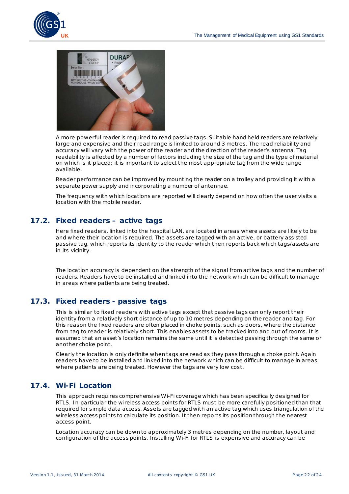



A more powerful reader is required to read passive tags. Suitable hand held readers are relatively large and expensive and their read range is limited to around 3 metres. The read reliability and accuracy will vary with the power of the reader and the direction of the reader's antenna. Tag readability is affected by a number of factors including the size of the tag and the type of material on which is it placed; it is important to select the most appropriate tag from the wide range available.

Reader performance can be improved by mounting the reader on a trolley and providing it with a separate power supply and incorporating a number of antennae.

The frequency with which locations are reported will clearly depend on how often the user visits a location with the mobile reader.

### <span id="page-21-0"></span>**17.2. Fixed readers – active tags**

Here fixed readers, linked into the hospital LAN, are located in areas where assets are likely to be and where their location is required. The assets are tagged with an active, or battery assisted passive tag, which reports its identity to the reader which then reports back which tags/assets are in its vicinity.

The location accuracy is dependent on the strength of the signal from active tags and the number of readers. Readers have to be installed and linked into the network which can be difficult to manage in areas where patients are being treated.

#### <span id="page-21-1"></span>**17.3. Fixed readers - passive tags**

This is similar to fixed readers with active tags except that passive tags can only report their identity from a relatively short distance of up to 10 metres depending on the reader and tag. For this reason the fixed readers are often placed in choke points, such as doors, where the distance from tag to reader is relatively short. This enables assets to be tracked into and out of rooms. It is assumed that an asset's location remains the same until it is detected passing through the same or another choke point.

Clearly the location is only definite when tags are read as they pass through a choke point. Again readers have to be installed and linked into the network which can be difficult to manage in areas where patients are being treated. However the tags are very low cost.

### <span id="page-21-2"></span>**17.4. Wi-Fi Location**

This approach requires comprehensive Wi-Fi coverage which has been specifically designed for RTLS. In particular the wireless access points for RTLS must be more carefully positioned than that required for simple data access. Assets are tagged with an active tag which uses triangulation of the wireless access points to calculate its position. It then reports its position through the nearest access point.

Location accuracy can be down to approximately 3 metres depending on the number, layout and configuration of the access points. Installing Wi-Fi for RTLS is expensive and accuracy can be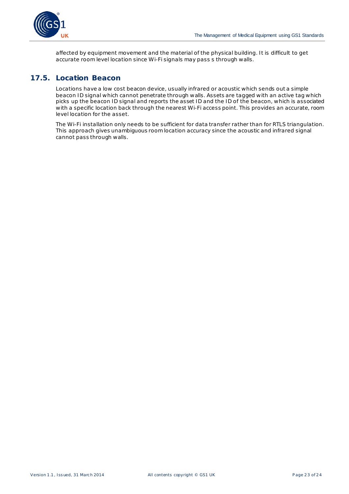

affected by equipment movement and the material of the physical building. It is difficult to get accurate room level location since Wi-Fi signals may pass s through walls.

### <span id="page-22-0"></span>**17.5. Location Beacon**

Locations have a low cost beacon device, usually infrared or acoustic which sends out a simple beacon ID signal which cannot penetrate through walls. Assets are tagged with an active tag which picks up the beacon ID signal and reports the asset ID and the ID of the beacon, which is associated with a specific location back through the nearest Wi-Fi access point. This provides an accurate, room level location for the asset.

<span id="page-22-1"></span>The Wi-Fi installation only needs to be sufficient for data transfer rather than for RTLS triangulation. This approach gives unambiguous room location accuracy since the acoustic and infrared signal cannot pass through walls.